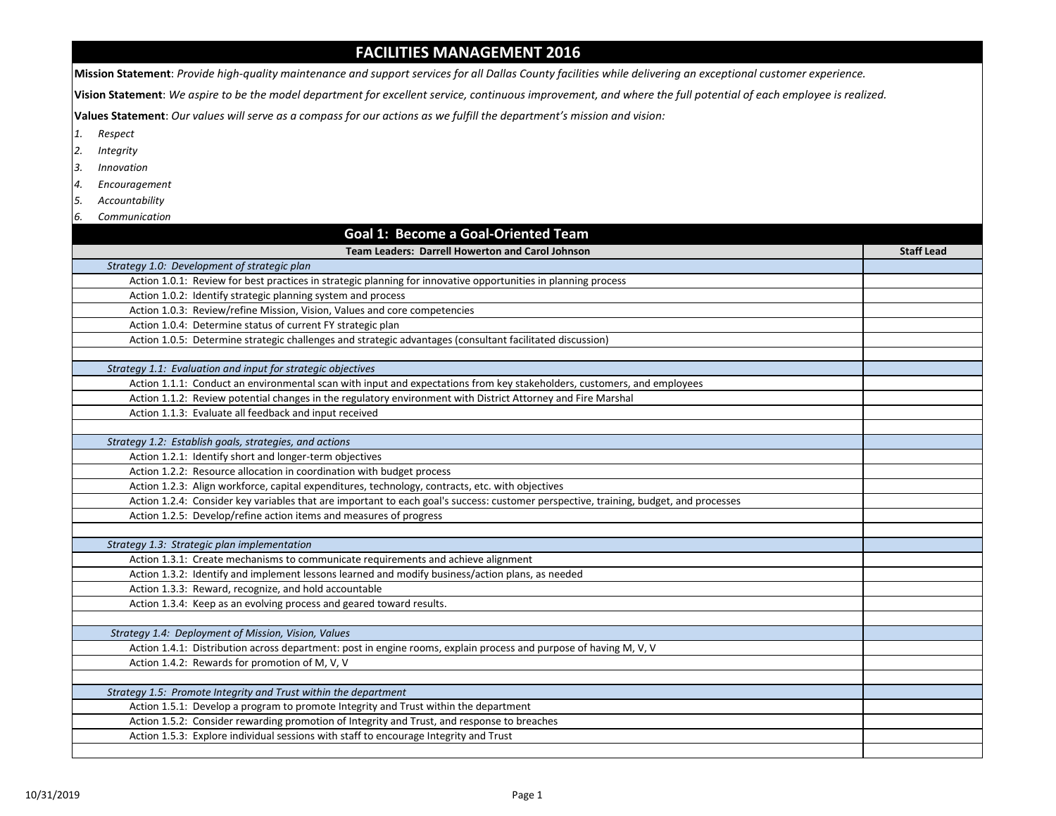## **FACILITIES MANAGEMENT 2016**

**Mission Statement**: *Provide high-quality maintenance and support services for all Dallas County facilities while delivering an exceptional customer experience.*

**Vision Statement**: *We aspire to be the model department for excellent service, continuous improvement, and where the full potential of each employee is realized.* 

**Values Statement**: *Our values will serve as a compass for our actions as we fulfill the department's mission and vision:*

- *1. Respect*
- *2. Integrity*
- *3. Innovation*
- *4. Encouragement*
- *5. Accountability 6. Communication*
- **Goal 1: Become a Goal-Oriented Team Team Leaders: Darrell Howerton and Carol Johnson Staff Lead** *Strategy 1.0: Development of strategic plan*  Action 1.0.1: Review for best practices in strategic planning for innovative opportunities in planning process Action 1.0.2: Identify strategic planning system and process Action 1.0.3: Review/refine Mission, Vision, Values and core competencies Action 1.0.4: Determine status of current FY strategic plan Action 1.0.5: Determine strategic challenges and strategic advantages (consultant facilitated discussion) *Strategy 1.1: Evaluation and input for strategic objectives* Action 1.1.1: Conduct an environmental scan with input and expectations from key stakeholders, customers, and employees Action 1.1.2: Review potential changes in the regulatory environment with District Attorney and Fire Marshal Action 1.1.3: Evaluate all feedback and input received *Strategy 1.2: Establish goals, strategies, and actions* Action 1.2.1: Identify short and longer-term objectives Action 1.2.2: Resource allocation in coordination with budget process Action 1.2.3: Align workforce, capital expenditures, technology, contracts, etc. with objectives Action 1.2.4: Consider key variables that are important to each goal's success: customer perspective, training, budget, and processes Action 1.2.5: Develop/refine action items and measures of progress *Strategy 1.3: Strategic plan implementation* Action 1.3.1: Create mechanisms to communicate requirements and achieve alignment Action 1.3.2: Identify and implement lessons learned and modify business/action plans, as needed Action 1.3.3: Reward, recognize, and hold accountable Action 1.3.4: Keep as an evolving process and geared toward results.  *Strategy 1.4: Deployment of Mission, Vision, Values* Action 1.4.1: Distribution across department: post in engine rooms, explain process and purpose of having M, V, V Action 1.4.2: Rewards for promotion of M, V, V *Strategy 1.5: Promote Integrity and Trust within the department* Action 1.5.1: Develop a program to promote Integrity and Trust within the department Action 1.5.2: Consider rewarding promotion of Integrity and Trust, and response to breaches Action 1.5.3: Explore individual sessions with staff to encourage Integrity and Trust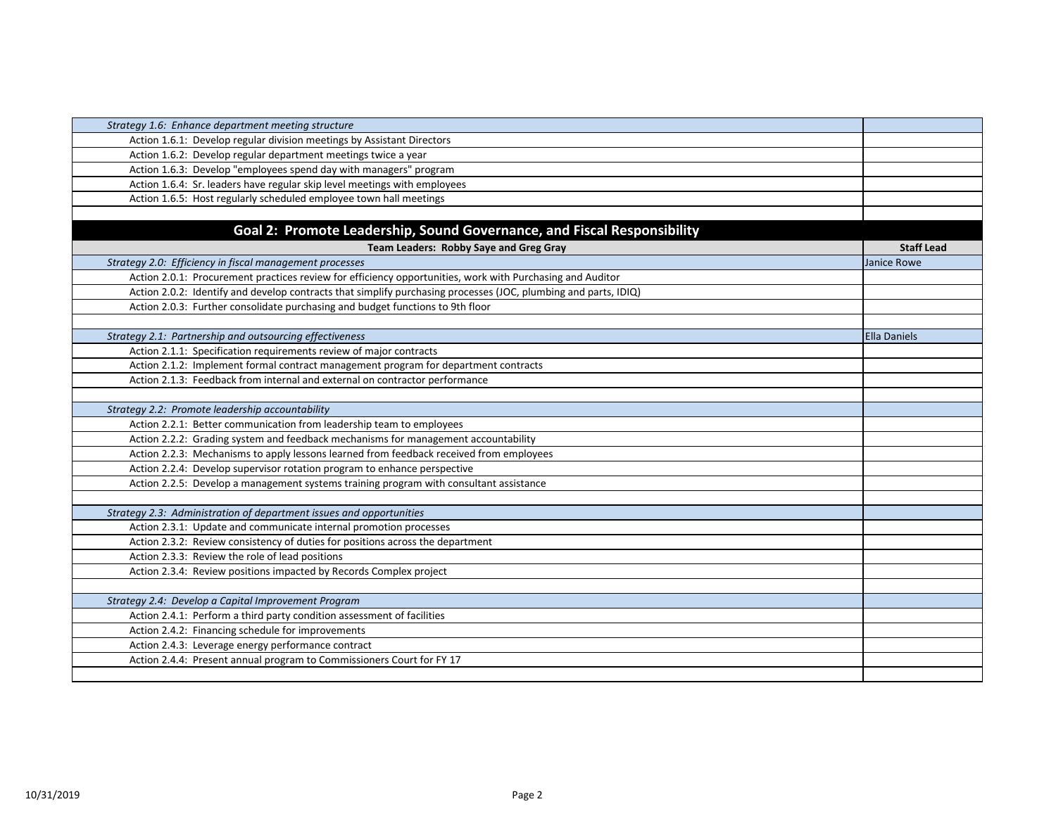| Strategy 1.6: Enhance department meeting structure                                                              |                   |
|-----------------------------------------------------------------------------------------------------------------|-------------------|
| Action 1.6.1: Develop regular division meetings by Assistant Directors                                          |                   |
| Action 1.6.2: Develop regular department meetings twice a year                                                  |                   |
| Action 1.6.3: Develop "employees spend day with managers" program                                               |                   |
| Action 1.6.4: Sr. leaders have regular skip level meetings with employees                                       |                   |
| Action 1.6.5: Host regularly scheduled employee town hall meetings                                              |                   |
|                                                                                                                 |                   |
| Goal 2: Promote Leadership, Sound Governance, and Fiscal Responsibility                                         |                   |
| Team Leaders: Robby Saye and Greg Gray                                                                          | <b>Staff Lead</b> |
| Strategy 2.0: Efficiency in fiscal management processes                                                         | Janice Rowe       |
| Action 2.0.1: Procurement practices review for efficiency opportunities, work with Purchasing and Auditor       |                   |
| Action 2.0.2: Identify and develop contracts that simplify purchasing processes (JOC, plumbing and parts, IDIQ) |                   |
| Action 2.0.3: Further consolidate purchasing and budget functions to 9th floor                                  |                   |
|                                                                                                                 |                   |
| Strategy 2.1: Partnership and outsourcing effectiveness                                                         | Ella Daniels      |
| Action 2.1.1: Specification requirements review of major contracts                                              |                   |
| Action 2.1.2: Implement formal contract management program for department contracts                             |                   |
| Action 2.1.3: Feedback from internal and external on contractor performance                                     |                   |
|                                                                                                                 |                   |
| Strategy 2.2: Promote leadership accountability                                                                 |                   |
| Action 2.2.1: Better communication from leadership team to employees                                            |                   |
| Action 2.2.2: Grading system and feedback mechanisms for management accountability                              |                   |
| Action 2.2.3: Mechanisms to apply lessons learned from feedback received from employees                         |                   |
| Action 2.2.4: Develop supervisor rotation program to enhance perspective                                        |                   |
| Action 2.2.5: Develop a management systems training program with consultant assistance                          |                   |
|                                                                                                                 |                   |
| Strategy 2.3: Administration of department issues and opportunities                                             |                   |
| Action 2.3.1: Update and communicate internal promotion processes                                               |                   |
| Action 2.3.2: Review consistency of duties for positions across the department                                  |                   |
| Action 2.3.3: Review the role of lead positions                                                                 |                   |
| Action 2.3.4: Review positions impacted by Records Complex project                                              |                   |
|                                                                                                                 |                   |
| Strategy 2.4: Develop a Capital Improvement Program                                                             |                   |
| Action 2.4.1: Perform a third party condition assessment of facilities                                          |                   |
| Action 2.4.2: Financing schedule for improvements                                                               |                   |
| Action 2.4.3: Leverage energy performance contract                                                              |                   |
| Action 2.4.4: Present annual program to Commissioners Court for FY 17                                           |                   |
|                                                                                                                 |                   |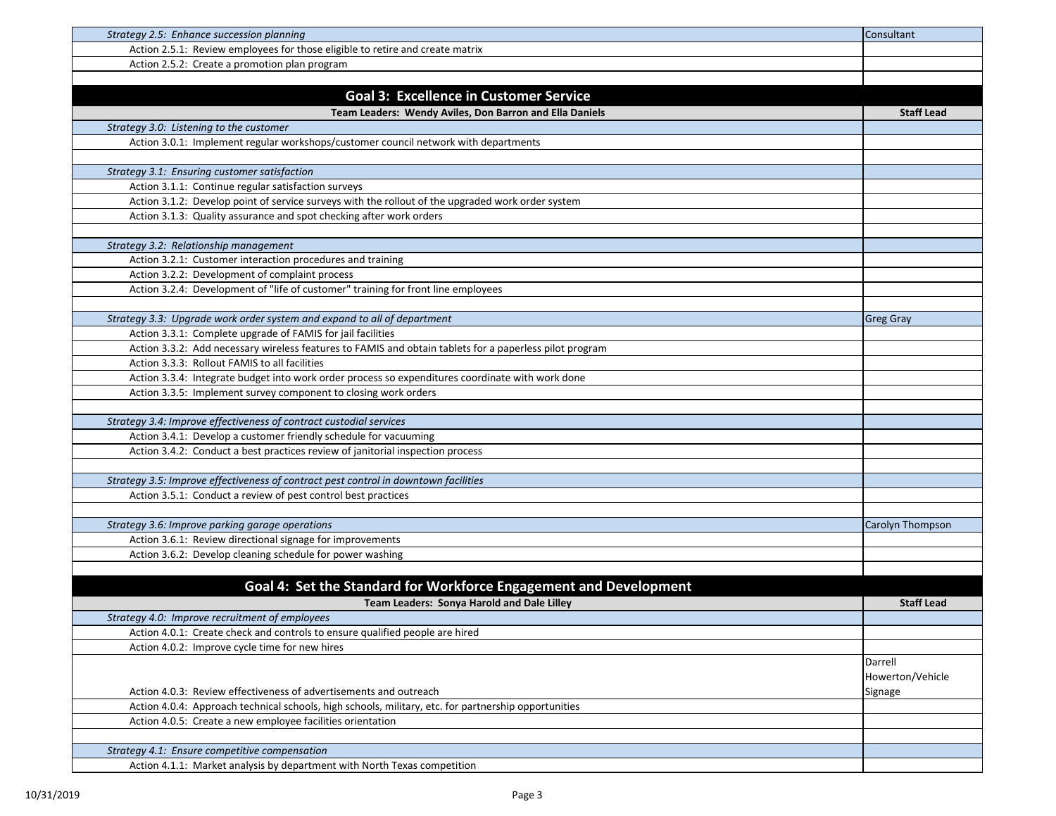| Strategy 2.5: Enhance succession planning                                                               | Consultant        |
|---------------------------------------------------------------------------------------------------------|-------------------|
| Action 2.5.1: Review employees for those eligible to retire and create matrix                           |                   |
| Action 2.5.2: Create a promotion plan program                                                           |                   |
|                                                                                                         |                   |
| <b>Goal 3: Excellence in Customer Service</b>                                                           |                   |
| Team Leaders: Wendy Aviles, Don Barron and Ella Daniels                                                 | <b>Staff Lead</b> |
| Strategy 3.0: Listening to the customer                                                                 |                   |
| Action 3.0.1: Implement regular workshops/customer council network with departments                     |                   |
|                                                                                                         |                   |
| Strategy 3.1: Ensuring customer satisfaction                                                            |                   |
| Action 3.1.1: Continue regular satisfaction surveys                                                     |                   |
| Action 3.1.2: Develop point of service surveys with the rollout of the upgraded work order system       |                   |
| Action 3.1.3: Quality assurance and spot checking after work orders                                     |                   |
|                                                                                                         |                   |
| Strategy 3.2: Relationship management                                                                   |                   |
| Action 3.2.1: Customer interaction procedures and training                                              |                   |
| Action 3.2.2: Development of complaint process                                                          |                   |
| Action 3.2.4: Development of "life of customer" training for front line employees                       |                   |
|                                                                                                         |                   |
| Strategy 3.3: Upgrade work order system and expand to all of department                                 | <b>Greg Gray</b>  |
| Action 3.3.1: Complete upgrade of FAMIS for jail facilities                                             |                   |
| Action 3.3.2: Add necessary wireless features to FAMIS and obtain tablets for a paperless pilot program |                   |
| Action 3.3.3: Rollout FAMIS to all facilities                                                           |                   |
| Action 3.3.4: Integrate budget into work order process so expenditures coordinate with work done        |                   |
| Action 3.3.5: Implement survey component to closing work orders                                         |                   |
|                                                                                                         |                   |
| Strategy 3.4: Improve effectiveness of contract custodial services                                      |                   |
| Action 3.4.1: Develop a customer friendly schedule for vacuuming                                        |                   |
| Action 3.4.2: Conduct a best practices review of janitorial inspection process                          |                   |
|                                                                                                         |                   |
| Strategy 3.5: Improve effectiveness of contract pest control in downtown facilities                     |                   |
| Action 3.5.1: Conduct a review of pest control best practices                                           |                   |
|                                                                                                         |                   |
| Strategy 3.6: Improve parking garage operations                                                         | Carolyn Thompson  |
| Action 3.6.1: Review directional signage for improvements                                               |                   |
| Action 3.6.2: Develop cleaning schedule for power washing                                               |                   |
|                                                                                                         |                   |
| Goal 4: Set the Standard for Workforce Engagement and Development                                       |                   |
| Team Leaders: Sonya Harold and Dale Lilley                                                              | <b>Staff Lead</b> |
| Strategy 4.0: Improve recruitment of employees                                                          |                   |
| Action 4.0.1: Create check and controls to ensure qualified people are hired                            |                   |
| Action 4.0.2: Improve cycle time for new hires                                                          |                   |
|                                                                                                         | Darrell           |
|                                                                                                         | Howerton/Vehicle  |
| Action 4.0.3: Review effectiveness of advertisements and outreach                                       | Signage           |
| Action 4.0.4: Approach technical schools, high schools, military, etc. for partnership opportunities    |                   |
| Action 4.0.5: Create a new employee facilities orientation                                              |                   |
|                                                                                                         |                   |
| Strategy 4.1: Ensure competitive compensation                                                           |                   |
| Action 4.1.1: Market analysis by department with North Texas competition                                |                   |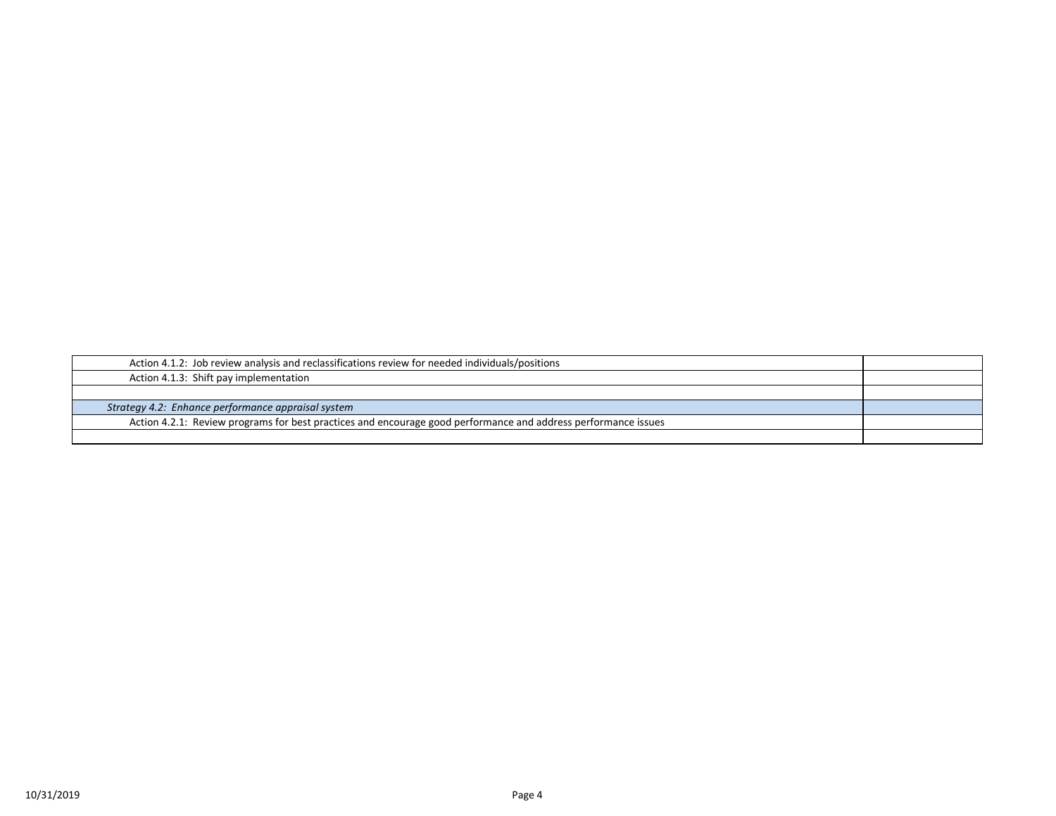| Action 4.1.2: Job review analysis and reclassifications review for needed individuals/positions                |  |
|----------------------------------------------------------------------------------------------------------------|--|
| Action 4.1.3: Shift pay implementation                                                                         |  |
|                                                                                                                |  |
| Strategy 4.2: Enhance performance appraisal system                                                             |  |
| Action 4.2.1: Review programs for best practices and encourage good performance and address performance issues |  |
|                                                                                                                |  |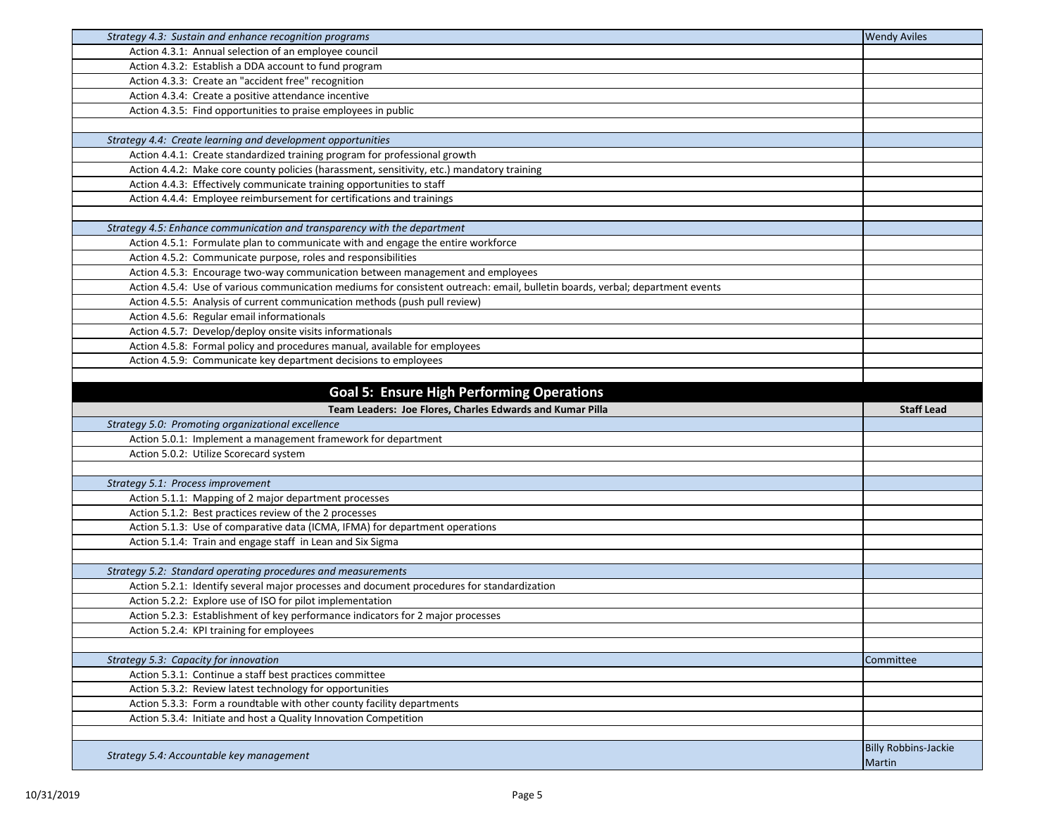| Strategy 4.3: Sustain and enhance recognition programs                                                                        | <b>Wendy Aviles</b>         |
|-------------------------------------------------------------------------------------------------------------------------------|-----------------------------|
| Action 4.3.1: Annual selection of an employee council                                                                         |                             |
| Action 4.3.2: Establish a DDA account to fund program                                                                         |                             |
| Action 4.3.3: Create an "accident free" recognition                                                                           |                             |
| Action 4.3.4: Create a positive attendance incentive                                                                          |                             |
| Action 4.3.5: Find opportunities to praise employees in public                                                                |                             |
|                                                                                                                               |                             |
| Strategy 4.4: Create learning and development opportunities                                                                   |                             |
| Action 4.4.1: Create standardized training program for professional growth                                                    |                             |
| Action 4.4.2: Make core county policies (harassment, sensitivity, etc.) mandatory training                                    |                             |
| Action 4.4.3: Effectively communicate training opportunities to staff                                                         |                             |
| Action 4.4.4: Employee reimbursement for certifications and trainings                                                         |                             |
|                                                                                                                               |                             |
| Strategy 4.5: Enhance communication and transparency with the department                                                      |                             |
| Action 4.5.1: Formulate plan to communicate with and engage the entire workforce                                              |                             |
| Action 4.5.2: Communicate purpose, roles and responsibilities                                                                 |                             |
| Action 4.5.3: Encourage two-way communication between management and employees                                                |                             |
| Action 4.5.4: Use of various communication mediums for consistent outreach: email, bulletin boards, verbal; department events |                             |
| Action 4.5.5: Analysis of current communication methods (push pull review)                                                    |                             |
| Action 4.5.6: Regular email informationals                                                                                    |                             |
| Action 4.5.7: Develop/deploy onsite visits informationals                                                                     |                             |
| Action 4.5.8: Formal policy and procedures manual, available for employees                                                    |                             |
| Action 4.5.9: Communicate key department decisions to employees                                                               |                             |
|                                                                                                                               |                             |
|                                                                                                                               |                             |
| <b>Goal 5: Ensure High Performing Operations</b>                                                                              |                             |
|                                                                                                                               |                             |
| Team Leaders: Joe Flores, Charles Edwards and Kumar Pilla                                                                     | <b>Staff Lead</b>           |
| Strategy 5.0: Promoting organizational excellence                                                                             |                             |
| Action 5.0.1: Implement a management framework for department                                                                 |                             |
| Action 5.0.2: Utilize Scorecard system                                                                                        |                             |
|                                                                                                                               |                             |
| Strategy 5.1: Process improvement                                                                                             |                             |
| Action 5.1.1: Mapping of 2 major department processes                                                                         |                             |
| Action 5.1.2: Best practices review of the 2 processes                                                                        |                             |
| Action 5.1.3: Use of comparative data (ICMA, IFMA) for department operations                                                  |                             |
| Action 5.1.4: Train and engage staff in Lean and Six Sigma                                                                    |                             |
|                                                                                                                               |                             |
| Strategy 5.2: Standard operating procedures and measurements                                                                  |                             |
| Action 5.2.1: Identify several major processes and document procedures for standardization                                    |                             |
| Action 5.2.2: Explore use of ISO for pilot implementation                                                                     |                             |
| Action 5.2.3: Establishment of key performance indicators for 2 major processes                                               |                             |
| Action 5.2.4: KPI training for employees                                                                                      |                             |
|                                                                                                                               |                             |
| Strategy 5.3: Capacity for innovation                                                                                         | Committee                   |
| Action 5.3.1: Continue a staff best practices committee                                                                       |                             |
| Action 5.3.2: Review latest technology for opportunities                                                                      |                             |
| Action 5.3.3: Form a roundtable with other county facility departments                                                        |                             |
| Action 5.3.4: Initiate and host a Quality Innovation Competition                                                              |                             |
|                                                                                                                               |                             |
| Strategy 5.4: Accountable key management                                                                                      | <b>Billy Robbins-Jackie</b> |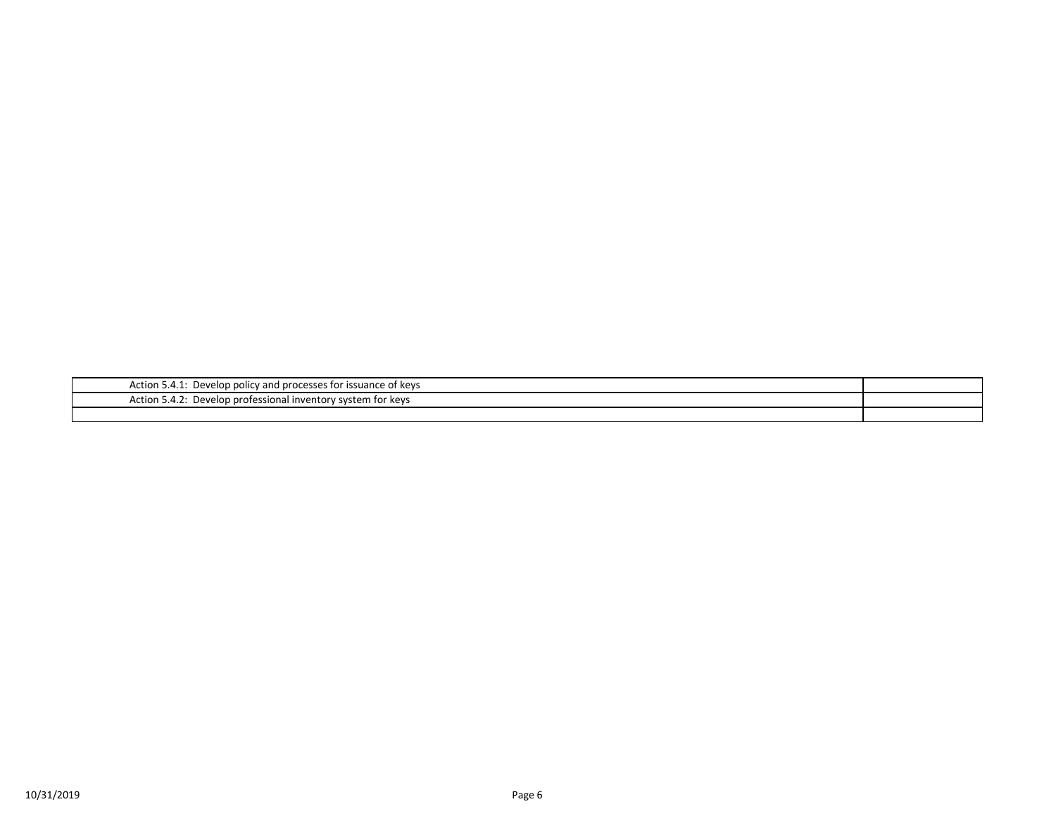| Action 5.4.1.<br>1.1: Develop policy and processes for issuance of keys |  |
|-------------------------------------------------------------------------|--|
| Action 5.4.2: Develop professional inventory system for keys            |  |
|                                                                         |  |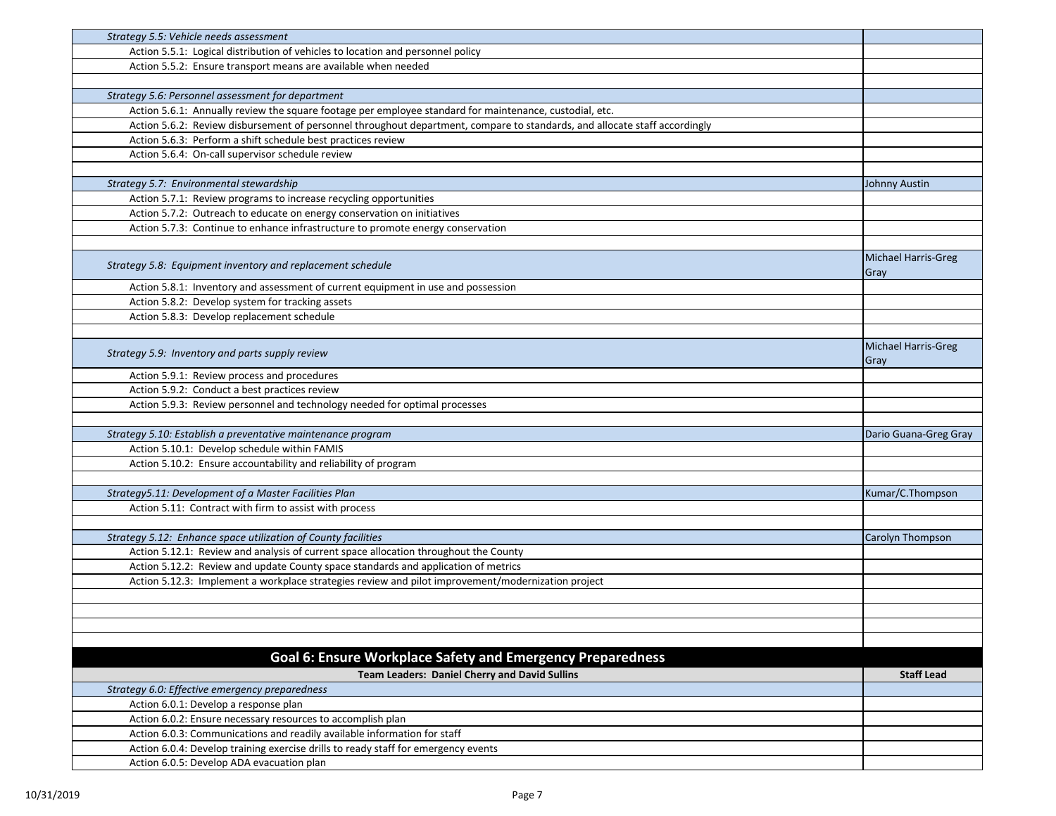| Strategy 5.5: Vehicle needs assessment                                                                                          |                       |
|---------------------------------------------------------------------------------------------------------------------------------|-----------------------|
| Action 5.5.1: Logical distribution of vehicles to location and personnel policy                                                 |                       |
| Action 5.5.2: Ensure transport means are available when needed                                                                  |                       |
|                                                                                                                                 |                       |
| Strategy 5.6: Personnel assessment for department                                                                               |                       |
| Action 5.6.1: Annually review the square footage per employee standard for maintenance, custodial, etc.                         |                       |
| Action 5.6.2: Review disbursement of personnel throughout department, compare to standards, and allocate staff accordingly      |                       |
| Action 5.6.3: Perform a shift schedule best practices review                                                                    |                       |
| Action 5.6.4: On-call supervisor schedule review                                                                                |                       |
|                                                                                                                                 |                       |
| Strategy 5.7: Environmental stewardship                                                                                         | Johnny Austin         |
| Action 5.7.1: Review programs to increase recycling opportunities                                                               |                       |
| Action 5.7.2: Outreach to educate on energy conservation on initiatives                                                         |                       |
| Action 5.7.3: Continue to enhance infrastructure to promote energy conservation                                                 |                       |
|                                                                                                                                 |                       |
|                                                                                                                                 | Michael Harris-Greg   |
| Strategy 5.8: Equipment inventory and replacement schedule                                                                      | Gray                  |
| Action 5.8.1: Inventory and assessment of current equipment in use and possession                                               |                       |
| Action 5.8.2: Develop system for tracking assets                                                                                |                       |
| Action 5.8.3: Develop replacement schedule                                                                                      |                       |
|                                                                                                                                 |                       |
|                                                                                                                                 | Michael Harris-Greg   |
| Strategy 5.9: Inventory and parts supply review                                                                                 | Gray                  |
| Action 5.9.1: Review process and procedures                                                                                     |                       |
| Action 5.9.2: Conduct a best practices review                                                                                   |                       |
| Action 5.9.3: Review personnel and technology needed for optimal processes                                                      |                       |
|                                                                                                                                 |                       |
| Strategy 5.10: Establish a preventative maintenance program                                                                     | Dario Guana-Greg Gray |
| Action 5.10.1: Develop schedule within FAMIS                                                                                    |                       |
| Action 5.10.2: Ensure accountability and reliability of program                                                                 |                       |
|                                                                                                                                 |                       |
| Strategy5.11: Development of a Master Facilities Plan                                                                           | Kumar/C.Thompson      |
| Action 5.11: Contract with firm to assist with process                                                                          |                       |
|                                                                                                                                 |                       |
| Strategy 5.12: Enhance space utilization of County facilities                                                                   | Carolyn Thompson      |
| Action 5.12.1: Review and analysis of current space allocation throughout the County                                            |                       |
| Action 5.12.2: Review and update County space standards and application of metrics                                              |                       |
| Action 5.12.3: Implement a workplace strategies review and pilot improvement/modernization project                              |                       |
|                                                                                                                                 |                       |
|                                                                                                                                 |                       |
|                                                                                                                                 |                       |
|                                                                                                                                 |                       |
| Goal 6: Ensure Workplace Safety and Emergency Preparedness                                                                      |                       |
|                                                                                                                                 |                       |
| <b>Team Leaders: Daniel Cherry and David Sullins</b>                                                                            | <b>Staff Lead</b>     |
| Strategy 6.0: Effective emergency preparedness                                                                                  |                       |
| Action 6.0.1: Develop a response plan                                                                                           |                       |
| Action 6.0.2: Ensure necessary resources to accomplish plan                                                                     |                       |
|                                                                                                                                 |                       |
| Action 6.0.3: Communications and readily available information for staff                                                        |                       |
| Action 6.0.4: Develop training exercise drills to ready staff for emergency events<br>Action 6.0.5: Develop ADA evacuation plan |                       |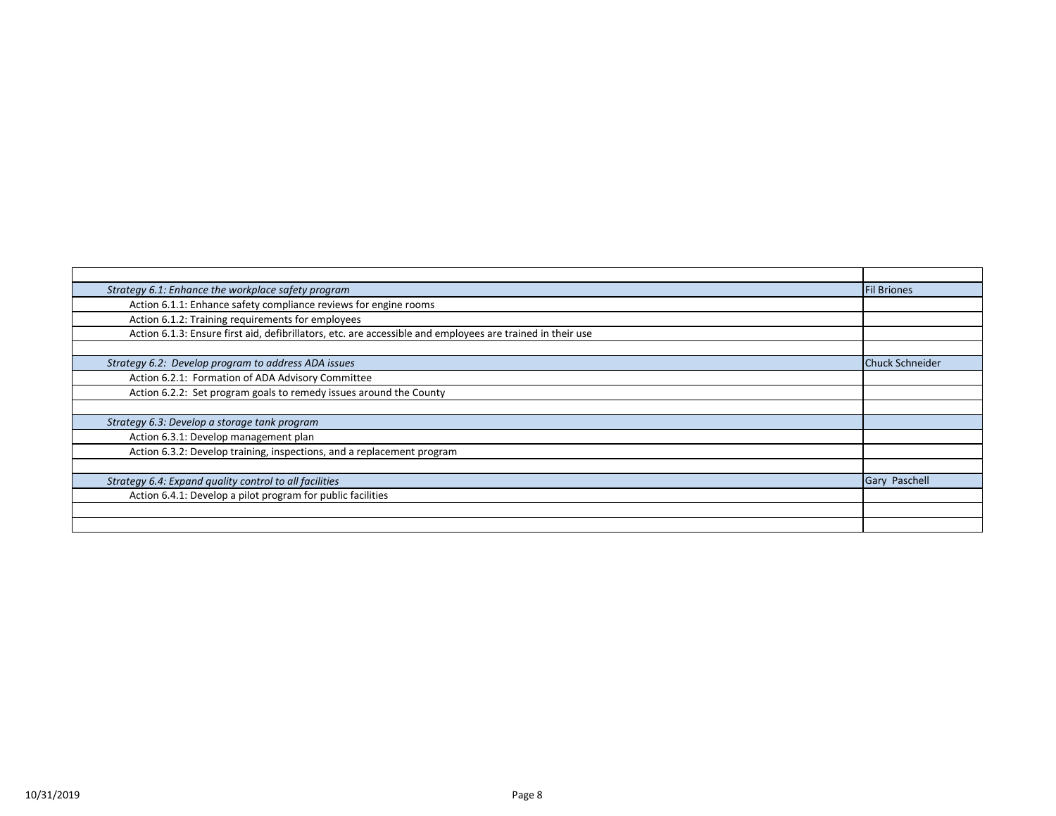| Strategy 6.1: Enhance the workplace safety program                                                         | <b>Fil Briones</b>     |
|------------------------------------------------------------------------------------------------------------|------------------------|
| Action 6.1.1: Enhance safety compliance reviews for engine rooms                                           |                        |
| Action 6.1.2: Training requirements for employees                                                          |                        |
| Action 6.1.3: Ensure first aid, defibrillators, etc. are accessible and employees are trained in their use |                        |
|                                                                                                            |                        |
| Strategy 6.2: Develop program to address ADA issues                                                        | <b>Chuck Schneider</b> |
| Action 6.2.1: Formation of ADA Advisory Committee                                                          |                        |
| Action 6.2.2: Set program goals to remedy issues around the County                                         |                        |
|                                                                                                            |                        |
| Strategy 6.3: Develop a storage tank program                                                               |                        |
| Action 6.3.1: Develop management plan                                                                      |                        |
| Action 6.3.2: Develop training, inspections, and a replacement program                                     |                        |
|                                                                                                            |                        |
| Strategy 6.4: Expand quality control to all facilities                                                     | <b>Gary Paschell</b>   |
| Action 6.4.1: Develop a pilot program for public facilities                                                |                        |
|                                                                                                            |                        |
|                                                                                                            |                        |